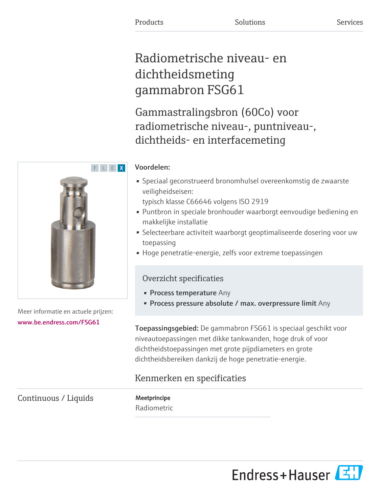# Radiometrische niveau- en dichtheidsmeting gammabron FSG61

Gammastralingsbron (60Co) voor radiometrische niveau-, puntniveau-, dichtheids- en interfacemeting

# Voordelen:

• Speciaal geconstrueerd bronomhulsel overeenkomstig de zwaarste veiligheidseisen:

typisch klasse C66646 volgens ISO 2919

- Puntbron in speciale bronhouder waarborgt eenvoudige bediening en makkelijke installatie
- Selecteerbare activiteit waarborgt geoptimaliseerde dosering voor uw toepassing
- Hoge penetratie-energie, zelfs voor extreme toepassingen

# Overzicht specificaties

- Process temperature Any
- Process pressure absolute / max. overpressure limit Any

Toepassingsgebied: De gammabron FSG61 is speciaal geschikt voor niveautoepassingen met dikke tankwanden, hoge druk of voor dichtheidstoepassingen met grote pijpdiameters en grote dichtheidsbereiken dankzij de hoge penetratie-energie.

# Kenmerken en specificaties

Continuous / Liquids Meetprincipe

Radiometric



Meer informatie en actuele prijzen: [www.be.endress.com/FSG61](https://www.be.endress.com/FSG61)

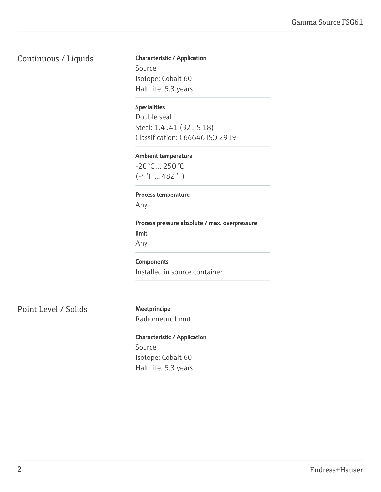# Continuous / Liquids Characteristic / Application

Source Isotope: Cobalt 60 Half-life: 5.3 years

### Specialities

Double seal Steel: 1.4541 (321 S 18) Classification: C66646 ISO 2919

#### Ambient temperature

-20 °C ... 250 °C  $(-4 \degree F ... 482 \degree F)$ 

### Process temperature

Any

Process pressure absolute / max. overpressure limit Any

Components

Installed in source container

Point Level / Solids Meetprincipe

Radiometric Limit

Characteristic / Application Source Isotope: Cobalt 60 Half-life: 5.3 years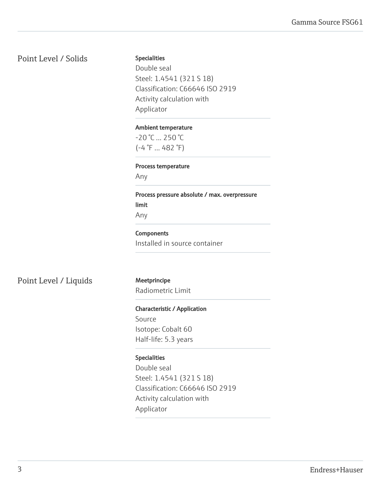# Point Level / Solids

#### Specialities

Double seal Steel: 1.4541 (321 S 18) Classification: C66646 ISO 2919 Activity calculation with Applicator

#### Ambient temperature

-20 °C ... 250 °C (-4 °F ... 482 °F)

#### Process temperature

Any

Process pressure absolute / max. overpressure limit Any

#### **Components**

Installed in source container

Point Level / Liquids Meetprincipe

Radiometric Limit

#### Characteristic / Application

Source Isotope: Cobalt 60 Half-life: 5.3 years

### Specialities

Double seal Steel: 1.4541 (321 S 18) Classification: C66646 ISO 2919 Activity calculation with Applicator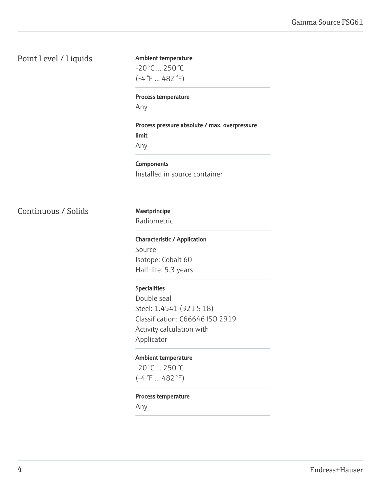# Point Level / Liquids

# Ambient temperature  $-20$  °C  $...$  250 °C (-4 °F ... 482 °F)

#### Process temperature

Any

# Process pressure absolute / max. overpressure limit Any

# **Components** Installed in source container

Continuous / Solids Meetprincipe

# Radiometric

Characteristic / Application Source Isotope: Cobalt 60 Half-life: 5.3 years

#### Specialities

Double seal Steel: 1.4541 (321 S 18) Classification: C66646 ISO 2919 Activity calculation with Applicator

#### Ambient temperature

-20 °C ... 250 °C  $(-4 \degree F ... 482 \degree F)$ 

#### Process temperature

Any